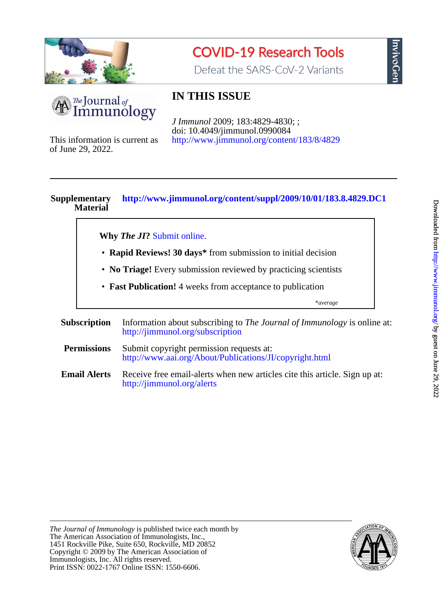

# **COVID-19 Research Tools**

Defeat the SARS-CoV-2 Variants



# **IN THIS ISSUE**

<http://www.jimmunol.org/content/183/8/4829> doi: 10.4049/jimmunol.0990084 *J Immunol* 2009; 183:4829-4830; ;

of June 29, 2022. This information is current as

# **Material Supplementary <http://www.jimmunol.org/content/suppl/2009/10/01/183.8.4829.DC1>**

**Why** *The JI***?** [Submit online.](https://ji.msubmit.net)

- **Rapid Reviews! 30 days\*** from submission to initial decision
- **No Triage!** Every submission reviewed by practicing scientists
- **Fast Publication!** 4 weeks from acceptance to publication

\**average*

- **Subscription** <http://jimmunol.org/subscription> Information about subscribing to *The Journal of Immunology* is online at: **Permissions** <http://www.aai.org/About/Publications/JI/copyright.html> Submit copyright permission requests at:
- **Email Alerts** <http://jimmunol.org/alerts> Receive free email-alerts when new articles cite this article. Sign up at:

nvivoGen



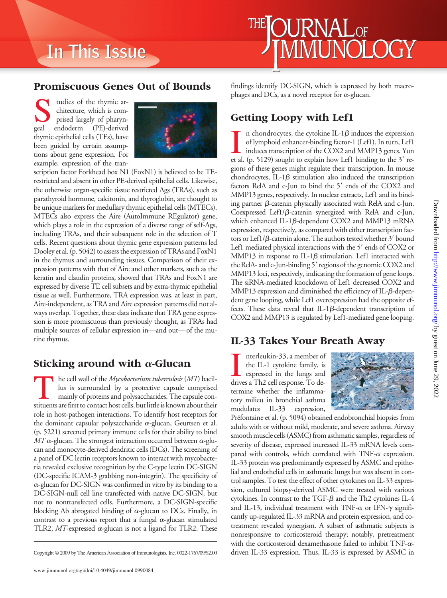# **In This Issue In This Issue**

#### **Promiscuous Genes Out of Bounds**

studies of the thymic architecture, which is comprised largely of pharyn-<br>geal endoderm (PE)-derived chitecture, which is comprised largely of pharyn-(PE)-derived thymic epithelial cells (TEs), have been guided by certain assumptions about gene expression. For example, expression of the tran-



scription factor Forkhead box N1 (FoxN1) is believed to be TErestricted and absent in other PE-derived epithelial cells. Likewise, the otherwise organ-specific tissue restricted Ags (TRAs), such as parathyroid hormone, calcitonin, and thyroglobin, are thought to be unique markers for medullary thymic epithelial cells (MTECs). MTECs also express the Aire (AutoImmune REgulator) gene, which plays a role in the expression of a diverse range of self-Ags, including TRAs, and their subsequent role in the selection of T cells. Recent questions about thymic gene expression patterns led Dooley et al. (p. 5042) to assess the expression of TRAs and FoxN1 in the thymus and surrounding tissues. Comparison of their expression patterns with that of Aire and other markers, such as the keratin and claudin proteins, showed that TRAs and FoxN1 are expressed by diverse TE cell subsets and by extra-thymic epithelial tissue as well. Furthermore, TRA expression was, at least in part, Aire-independent, as TRA and Aire expression patterns did not always overlap. Together, these data indicate that TRA gene expression is more promiscuous than previously thought, as TRAs had multiple sources of cellular expression in—and out—of the murine thymus.

# **Sticking around with**  $\alpha$ **-Glucan**

The cell wall of the *Mycobacterium tuberculosis* (MT) bacillus is surrounded by a protective capsule comprised mainly of proteins and polysaccharides. The capsule constituents arefirst to contact host cells, but little is known about their role in host-pathogen interactions. To identify host receptors for the dominant capsular polysaccharide  $\alpha$ -glucan, Geurtsen et al. (p. 5221) screened primary immune cells for their ability to bind  $MT\alpha$ -glucan. The strongest interaction occurred between  $\alpha$ -glucan and monocyte-derived dendritic cells (DCs). The screening of a panel of DC lectin receptors known to interact with mycobacteria revealed exclusive recognition by the C-type lectin DC-SIGN (DC-specific ICAM-3 grabbing non-integrin). The specificity of  $\alpha$ -glucan for DC-SIGN was confirmed in vitro by its binding to a DC-SIGN-null cell line transfected with native DC-SIGN, but not to nontransfected cells. Furthermore, a DC-SIGN-specific blocking Ab abrogated binding of  $\alpha$ -glucan to DCs. Finally, in contrast to a previous report that a fungal  $\alpha$ -glucan stimulated TLR2,  $MT$ -expressed  $\alpha$ -glucan is not a ligand for TLR2. These

www.jimmunol.org/cgi/doi/10.4049/jimmunol.0990084

findings identify DC-SIGN, which is expressed by both macrophages and DCs, as a novel receptor for  $\alpha$ -glucan.

 $\mathop{\text{JRNAL}}\nolimits_{\text{OF}}$ 

MI INOI

#### **Getting Loopy with Lef1**

In chondrocytes, the cytokine IL-1 $\beta$  induces the expression of lymphoid enhancer-binding factor-1 (Lef1). In turn, Lef1 induces transcription of the COX2 and MMP13 genes. Yun et al. (p. 5129) sought to explain how Lef1 n chondrocytes, the cytokine IL-1 $\beta$  induces the expression of lymphoid enhancer-binding factor-1 (Lef1). In turn, Lef1 induces transcription of the COX2 and MMP13 genes. Yun gions of these genes might regulate their transcription. In mouse chondrocytes, IL-1 $\beta$  stimulation also induced the transcription factors RelA and c-Jun to bind the 5' ends of the COX2 and MMP13 genes, respectively. In nuclear extracts, Lef1 and its binding partner  $\beta$ -catenin physically associated with RelA and c-Jun. Coexpressed Lef1/ $\beta$ -catenin synergized with RelA and c-Jun, which enhanced IL-1ß-dependent COX2 and MMP13 mRNA expression, respectively, as compared with either transcription factors or Lef1/ $\beta$ -catenin alone. The authors tested whether 3' bound Lef1 mediated physical interactions with the 5' ends of COX2 or MMP13 in response to IL-1 $\beta$  stimulation. Lef1 interacted with the RelA- and c-Jun-binding 5' regions of the genomic COX2 and MMP13 loci, respectively, indicating the formation of gene loops. The siRNA-mediated knockdown of Lef1 decreased COX2 and  $MMP13$  expression and diminished the efficiency of IL- $\beta$ -dependent gene looping, while Lef1 overexpression had the opposite effects. These data reveal that IL-1 $\beta$ -dependent transcription of COX2 and MMP13 is regulated by Lef1-mediated gene looping.

# **IL-33 Takes Your Breath Away**

Interleukin-33, a member of<br>the IL-1 cytokine family, is<br>expressed in the lungs and<br>drives a Th2 cell response. To denterleukin-33, a member of the IL-1 cytokine family, is expressed in the lungs and termine whether the inflammatory milieu in bronchial asthma modulates IL-33 expression,



Préfontaine et al. (p. 5094) obtained endobronchial biopsies from adults with or without mild, moderate, and severe asthma. Airway smooth muscle cells (ASMC) from asthmatic samples, regardless of severity of disease, expressed increased IL-33 mRNA levels compared with controls, which correlated with TNF- $\alpha$  expression. IL-33 protein was predominantly expressed by ASMC and epithelial and endothelial cells in asthmatic lungs but was absent in control samples. To test the effect of other cytokines on IL-33 expression, cultured biopsy-derived ASMC were treated with various cytokines. In contrast to the TGF- $\beta$  and the Th2 cytokines IL-4 and IL-13, individual treatment with TNF- $\alpha$  or IFN- $\gamma$  significantly up-regulated IL-33 mRNA and protein expression, and cotreatment revealed synergism. A subset of asthmatic subjects is nonresponsive to corticosteroid therapy; notably, pretreatment with the corticosteroid dexamethasone failed to inhibit TNF- $\alpha$ -Copyright © 2009 by The American Association of Immunologists, Inc. 0022-1767/09/\$2.00 driven IL-33 expression. Thus, IL-33 is expressed by ASMC in